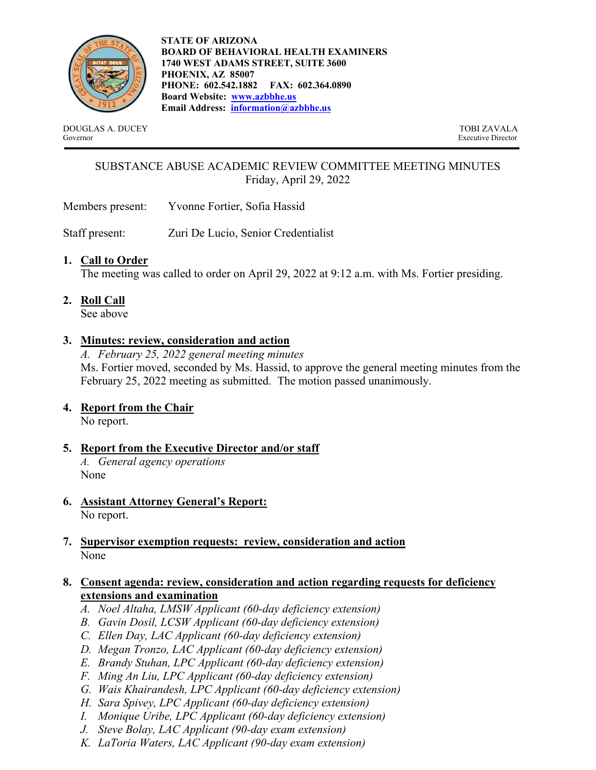

**STATE OF ARIZONA BOARD OF BEHAVIORAL HEALTH EXAMINERS 1740 WEST ADAMS STREET, SUITE 3600 PHOENIX, AZ 85007 PHONE: 602.542.1882 FAX: 602.364.0890 Board Website: www.azbbhe.us Email Address: information@azbbhe.us**

DOUGLAS A. DUCEY TOBI ZAVALA Governor Executive Director

# SUBSTANCE ABUSE ACADEMIC REVIEW COMMITTEE MEETING MINUTES Friday, April 29, 2022

Members present: Yvonne Fortier, Sofia Hassid

Staff present: Zuri De Lucio, Senior Credentialist

## **1. Call to Order**

The meeting was called to order on April 29, 2022 at 9:12 a.m. with Ms. Fortier presiding.

**2. Roll Call**

See above

## **3. Minutes: review, consideration and action**

*A. February 25, 2022 general meeting minutes*  Ms. Fortier moved, seconded by Ms. Hassid, to approve the general meeting minutes from the February 25, 2022 meeting as submitted. The motion passed unanimously.

### **4. Report from the Chair**

No report.

- **5. Report from the Executive Director and/or staff**  *A. General agency operations*  None
- **6. Assistant Attorney General's Report:**

No report.

**7. Supervisor exemption requests: review, consideration and action**  None

### **8. Consent agenda: review, consideration and action regarding requests for deficiency extensions and examination**

- *A. Noel Altaha, LMSW Applicant (60-day deficiency extension)*
- *B. Gavin Dosil, LCSW Applicant (60-day deficiency extension)*
- *C. Ellen Day, LAC Applicant (60-day deficiency extension)*
- *D. Megan Tronzo, LAC Applicant (60-day deficiency extension)*
- *E. Brandy Stuhan, LPC Applicant (60-day deficiency extension)*
- *F. Ming An Liu, LPC Applicant (60-day deficiency extension)*
- *G. Wais Khairandesh, LPC Applicant (60-day deficiency extension)*
- *H. Sara Spivey, LPC Applicant (60-day deficiency extension)*
- *I. Monique Uribe, LPC Applicant (60-day deficiency extension)*
- *J. Steve Bolay, LAC Applicant (90-day exam extension)*
- *K. LaToria Waters, LAC Applicant (90-day exam extension)*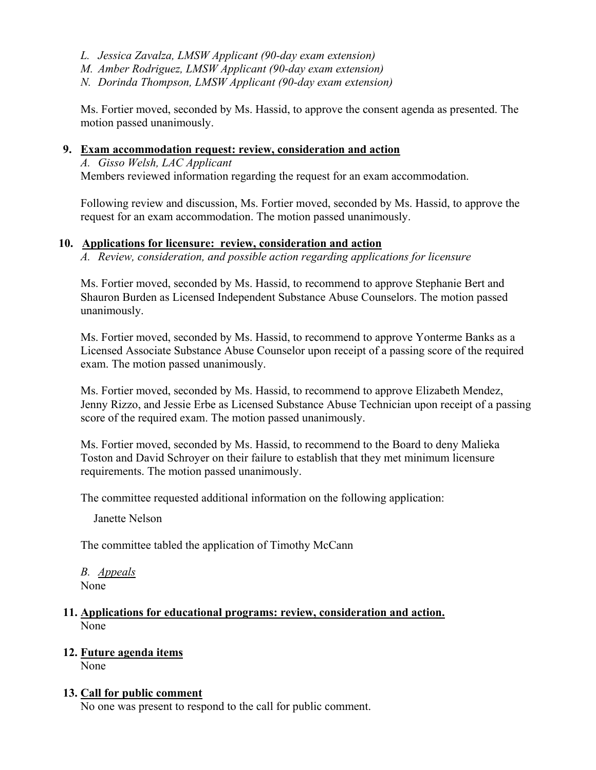- *L. Jessica Zavalza, LMSW Applicant (90-day exam extension)*
- *M. Amber Rodriguez, LMSW Applicant (90-day exam extension)*
- *N. Dorinda Thompson, LMSW Applicant (90-day exam extension)*

Ms. Fortier moved, seconded by Ms. Hassid, to approve the consent agenda as presented. The motion passed unanimously.

#### **9. Exam accommodation request: review, consideration and action**

*A. Gisso Welsh, LAC Applicant*  Members reviewed information regarding the request for an exam accommodation.

Following review and discussion, Ms. Fortier moved, seconded by Ms. Hassid, to approve the request for an exam accommodation. The motion passed unanimously.

#### **10. Applications for licensure: review, consideration and action**

*A. Review, consideration, and possible action regarding applications for licensure* 

Ms. Fortier moved, seconded by Ms. Hassid, to recommend to approve Stephanie Bert and Shauron Burden as Licensed Independent Substance Abuse Counselors. The motion passed unanimously.

Ms. Fortier moved, seconded by Ms. Hassid, to recommend to approve Yonterme Banks as a Licensed Associate Substance Abuse Counselor upon receipt of a passing score of the required exam. The motion passed unanimously.

Ms. Fortier moved, seconded by Ms. Hassid, to recommend to approve Elizabeth Mendez, Jenny Rizzo, and Jessie Erbe as Licensed Substance Abuse Technician upon receipt of a passing score of the required exam. The motion passed unanimously.

Ms. Fortier moved, seconded by Ms. Hassid, to recommend to the Board to deny Malieka Toston and David Schroyer on their failure to establish that they met minimum licensure requirements. The motion passed unanimously.

The committee requested additional information on the following application:

Janette Nelson

The committee tabled the application of Timothy McCann

*B. Appeals*  None

#### **11. Applications for educational programs: review, consideration and action.**  None

### **12. Future agenda items**

None

### **13. Call for public comment**

No one was present to respond to the call for public comment.